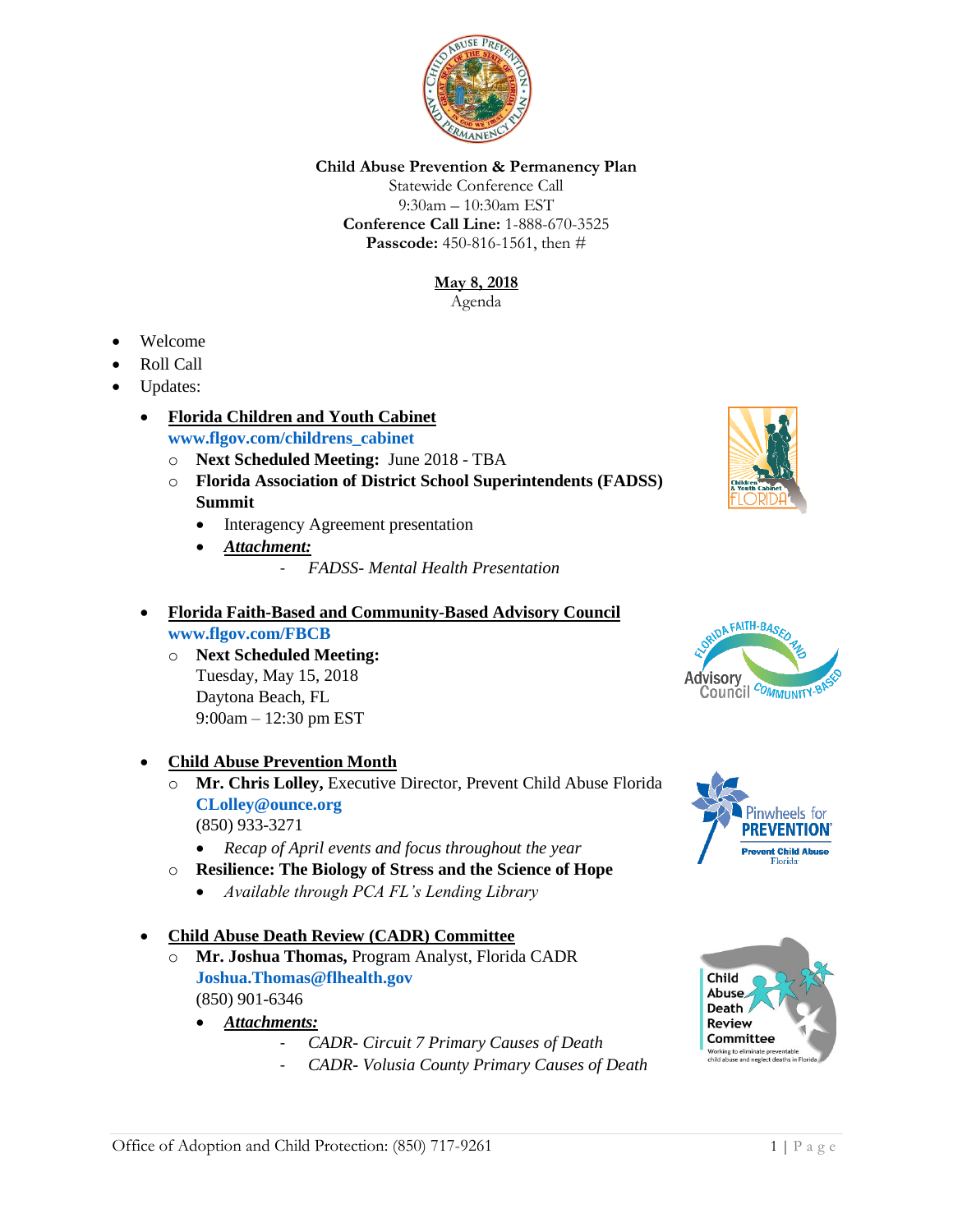

## **Child Abuse Prevention & Permanency Plan**

Statewide Conference Call 9:30am – 10:30am EST **Conference Call Line:** 1-888-670-3525 **Passcode:** 450-816-1561, then #

# **May 8, 2018**

Agenda

- Welcome
- Roll Call
- Updates:
	- **Florida Children and Youth Cabinet [www.flgov.com/childrens\\_cabinet](http://www.flgov.com/childrens_cabinet)** 
		- o **Next Scheduled Meeting:** June 2018 TBA
		- o **Florida Association of District School Superintendents (FADSS) Summit**
			- Interagency Agreement presentation
			- *Attachment:*
				- *FADSS- Mental Health Presentation*

## • **Florida Faith-Based and Community-Based Advisory Council [www.flgov.com/FBCB](http://www.flgov.com/FBCB)**

o **Next Scheduled Meeting:**  Tuesday, May 15, 2018 Daytona Beach, FL 9:00am – 12:30 pm EST

• **Child Abuse Prevention Month**

- o **Mr. Chris Lolley,** Executive Director, Prevent Child Abuse Florida **[CLolley@ounce.org](mailto:CLolley@ounce.org)** (850) 933-3271
	- *Recap of April events and focus throughout the year*
- o **Resilience: The Biology of Stress and the Science of Hope**
	- *Available through PCA FL's Lending Library*

## • **Child Abuse Death Review (CADR) Committee**

- o **Mr. Joshua Thomas,** Program Analyst, Florida CADR **[Joshua.Thomas@flhealth.gov](mailto:Joshua.Thomas@flhealth.gov)** (850) 901-6346
	- *Attachments:*
		- *CADR- Circuit 7 Primary Causes of Death*
		- *CADR- Volusia County Primary Causes of Death*







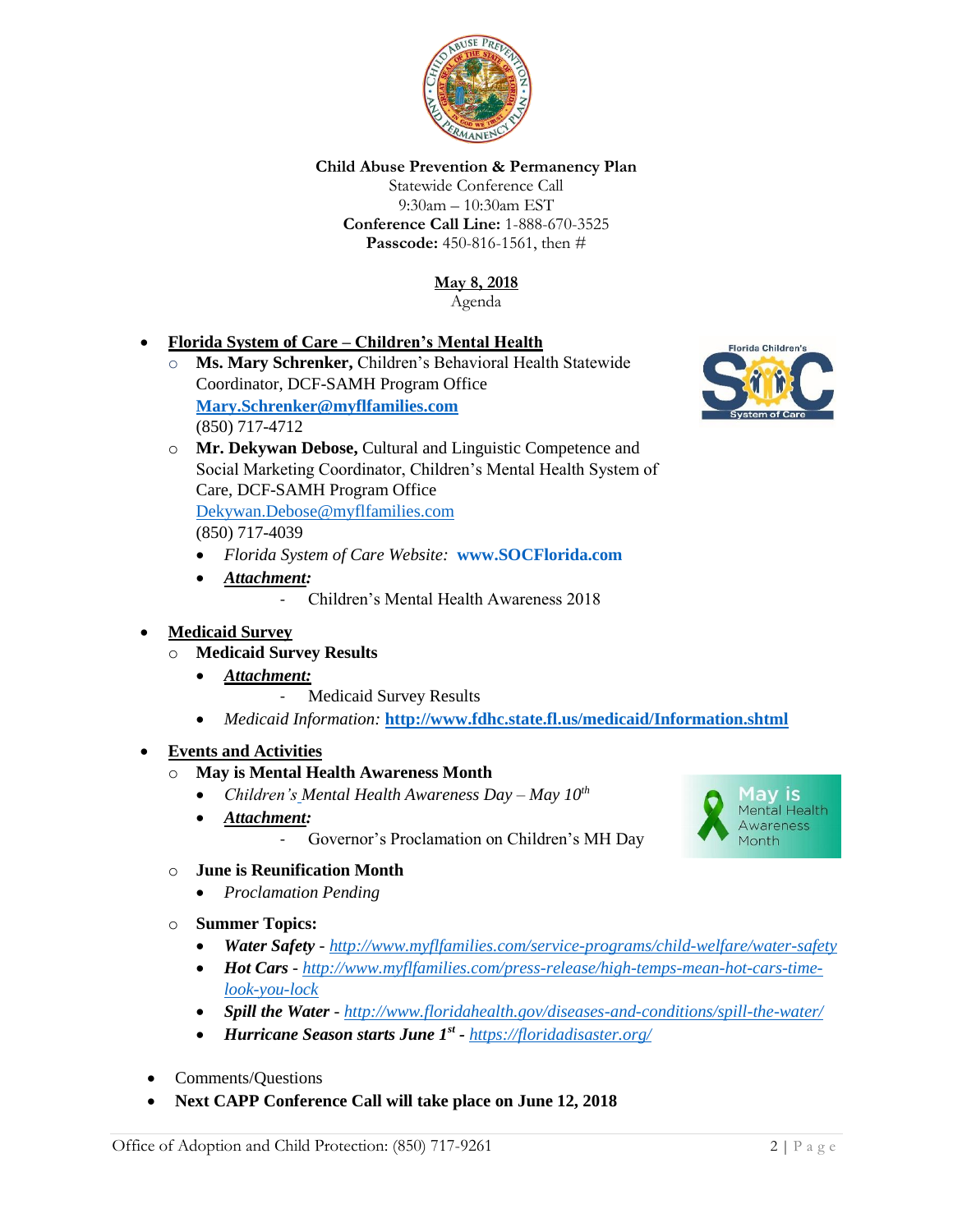

### **Child Abuse Prevention & Permanency Plan**

Statewide Conference Call 9:30am – 10:30am EST **Conference Call Line:** 1-888-670-3525 **Passcode:** 450-816-1561, then #

> **May 8, 2018** Agenda

# • **Florida System of Care – Children's Mental Health**

- o **Ms. Mary Schrenker,** Children's Behavioral Health Statewide Coordinator, DCF-SAMH Program Office **[Mary.Schrenker@myflfamilies.com](mailto:Mary.Schrenker@myflfamilies.com)** (850) 717-4712
- o **Mr. Dekywan Debose,** Cultural and Linguistic Competence and Social Marketing Coordinator, Children's Mental Health System of Care, DCF-SAMH Program Office

[Dekywan.Debose@myflfamilies.com](mailto:Dekywan.Debose@myflfamilies.com)

(850) 717-4039

- *Florida System of Care Website:* **[www.SOCFlorida.com](http://www.socflorida.com/)**
- *Attachment:*
	- Children's Mental Health Awareness 2018

#### • **Medicaid Survey**

- o **Medicaid Survey Results**
	- *Attachment:*
		- Medicaid Survey Results
	- *Medicaid Information:* **<http://www.fdhc.state.fl.us/medicaid/Information.shtml>**

#### • **Events and Activities**

#### o **May is Mental Health Awareness Month**

- *Children's Mental Health Awareness Day – May 10th*
- *Attachment:*
	- Governor's Proclamation on Children's MH Day

#### o **June is Reunification Month**

- *Proclamation Pending*
- o **Summer Topics:**
	- *Water Safety - <http://www.myflfamilies.com/service-programs/child-welfare/water-safety>*
	- *Hot Cars - [http://www.myflfamilies.com/press-release/high-temps-mean-hot-cars-time](http://www.myflfamilies.com/press-release/high-temps-mean-hot-cars-time-look-you-lock)[look-you-lock](http://www.myflfamilies.com/press-release/high-temps-mean-hot-cars-time-look-you-lock)*
	- *Spill the Water - <http://www.floridahealth.gov/diseases-and-conditions/spill-the-water/>*
	- *Hurricane Season starts June 1st - <https://floridadisaster.org/>*
- Comments/Questions
- **Next CAPP Conference Call will take place on June 12, 2018**